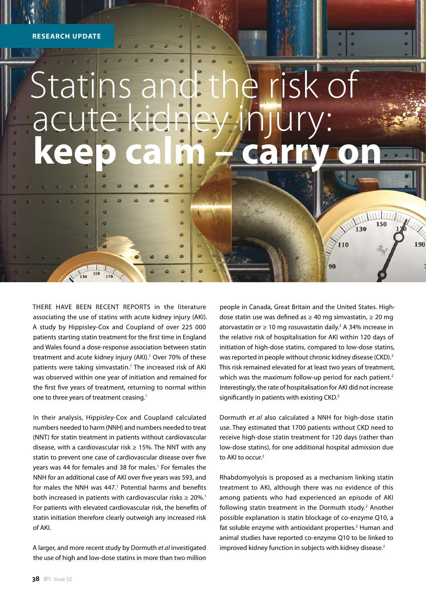$\bullet$ 

 $\ddot{\circ}$ 

ö

ä

**MARITIME** 

 $\overline{a}$ 

 $\overline{c}$ 

a

 $\sigma$ 

ä

i<sub>sm</sub>

## Statins and the risk of acute ki **keep calm – carry on**

è

 $\bullet$ 

ó

 $\alpha$ Ó

ó

THERE HAVE BEEN RECENT REPORTS in the literature associating the use of statins with acute kidney injury (AKI). A study by Hippisley-Cox and Coupland of over 225 000 patients starting statin treatment for the first time in England and Wales found a dose-response association between statin treatment and acute kidney injury (AKI).<sup>1</sup> Over 70% of these patients were taking simvastatin.<sup>1</sup> The increased risk of AKI was observed within one year of initiation and remained for the first five years of treatment, returning to normal within one to three years of treatment ceasing.<sup>1</sup>

In their analysis, Hippisley-Cox and Coupland calculated numbers needed to harm (NNH) and numbers needed to treat (NNT) for statin treatment in patients without cardiovascular disease, with a cardiovascular risk  $\geq 15$ %. The NNT with any statin to prevent one case of cardiovascular disease over five years was 44 for females and 38 for males.<sup>1</sup> For females the NNH for an additional case of AKI over five years was 593, and for males the NNH was 447.<sup>1</sup> Potential harms and benefits both increased in patients with cardiovascular risks  $\geq 20\%$ .<sup>1</sup> For patients with elevated cardiovascular risk, the benefits of statin initiation therefore clearly outweigh any increased risk of AKI.

A larger, and more recent study by Dormuth *et al* investigated the use of high and low-dose statins in more than two million

people in Canada, Great Britain and the United States. Highdose statin use was defined as ≥ 40 mg simvastatin, ≥ 20 mg atorvastatin or ≥ 10 mg rosuvastatin daily.<sup>2</sup> A 34% increase in the relative risk of hospitalisation for AKI within 120 days of initiation of high-dose statins, compared to low-dose statins, was reported in people without chronic kidney disease (CKD).<sup>2</sup> This risk remained elevated for at least two years of treatment, which was the maximum follow-up period for each patient.<sup>2</sup> Interestingly, the rate of hospitalisation for AKI did not increase significantly in patients with existing CKD.<sup>2</sup>

WWWW

130

110

90

150

190

Dormuth *et al* also calculated a NNH for high-dose statin use. They estimated that 1700 patients without CKD need to receive high-dose statin treatment for 120 days (rather than low-dose statins), for one additional hospital admission due to AKI to occur.<sup>2</sup>

Rhabdomyolysis is proposed as a mechanism linking statin treatment to AKI, although there was no evidence of this among patients who had experienced an episode of AKI following statin treatment in the Dormuth study.<sup>2</sup> Another possible explanation is statin blockage of co-enzyme Q10, a fat soluble enzyme with antioxidant properties.<sup>2</sup> Human and animal studies have reported co-enzyme Q10 to be linked to improved kidney function in subjects with kidney disease.<sup>2</sup>